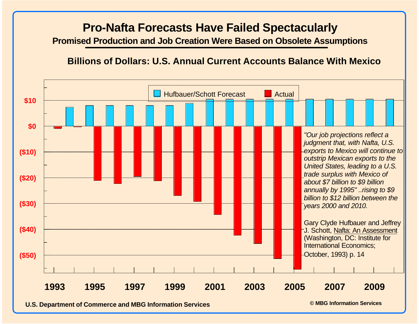# **Pro-Nafta Forecasts Have Failed Spectacularly**

**Promised Production and Job Creation Were Based on Obsolete Assumptions**

### **Billions of Dollars: U.S. Annual Current Accounts Balance With Mexico**

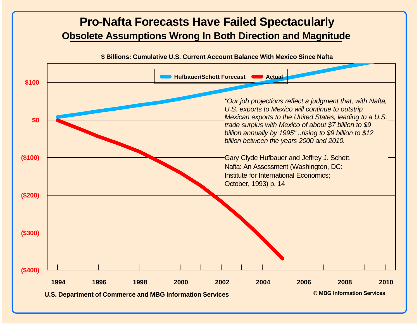## **Pro-Nafta Forecasts Have Failed Spectacularly Obsolete Assumptions Wrong In Both Direction and Magnitude**

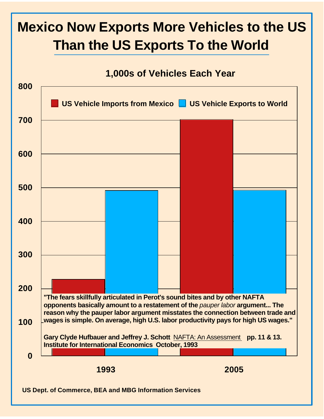# **Mexico Now Exports More Vehicles to the US Than the US Exports To the World**

### **1,000s of Vehicles Each Year**

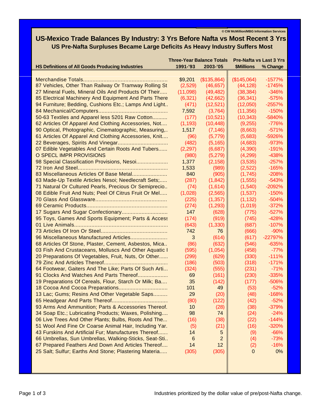**© CW McMillion/MBG Information Services**

### **US-Mexico Trade Balances By Industry: 3 Yrs Before Nafta vs Most Recent 3 Yrs US Pre-Nafta Surpluses Became Large Deficits As Heavy Industry Suffers Most**

|                                                         |          | <b>Three-Year Balance Totals</b> | <b>Pre-Nafta vs Last 3 Yrs</b> |           |
|---------------------------------------------------------|----------|----------------------------------|--------------------------------|-----------|
| <b>HS Definitions of All Goods Producing Industries</b> | 1991-'93 | 2003-'05                         | <b>\$Millions</b>              | % Change  |
|                                                         |          |                                  |                                |           |
|                                                         | \$9,201  | (\$135,864)                      | (\$145,064)                    | $-1577%$  |
| 87 Vehicles, Other Than Railway Or Tramway Rolling St   | (2,529)  | (46, 657)                        | (44, 128)                      | $-1745%$  |
| 27 Mineral Fuels, Mineral Oils And Products Of Their    | (11,098) | (49, 482)                        | (38, 384)                      | $-346%$   |
| 85 Electrical Machinery And Equipment And Parts There   | (6,321)  | (42, 662)                        | (36, 341)                      | $-575%$   |
| 94 Furniture; Bedding, Cushions Etc.; Lamps And Light   | (471)    | (12,521)                         | (12,050)                       | $-2557%$  |
|                                                         | 7,592    | (3,764)                          | (11, 356)                      | $-150%$   |
| 50-63 Textiles and Apparel less 5201 Raw Cotton         | (177)    | (10,521)                         | (10, 343)                      | $-5840%$  |
| 62 Articles Of Apparel And Clothing Accessories, Not    | (1, 193) | (10, 448)                        | (9,255)                        | $-776%$   |
| 90 Optical, Photographic, Cinematographic, Measuring,   | 1,517    | (7, 146)                         | (8,663)                        | $-571%$   |
| 61 Articles Of Apparel And Clothing Accessories, Knit   | (96)     | (5,779)                          | (5,683)                        | -5926%    |
|                                                         | (482)    | (5, 165)                         | (4,683)                        | $-973%$   |
| 07 Edible Vegetables And Certain Roots And Tubers       | (2,297)  | (6,687)                          | (4,390)                        | $-191%$   |
| O SPECL IMPR PROVISIONS                                 | (980)    | (5,279)                          | (4,299)                        | $-438%$   |
| 98 Special Classification Provisions, Nesoi             | 1,377    | (2, 158)                         | (3,535)                        | $-257%$   |
|                                                         | 1,533    | (989)                            | (2,522)                        | $-165%$   |
| 83 Miscellaneous Articles Of Base Metal                 | 840      | (905)                            | (1,745)                        | $-208%$   |
| 63 Made-Up Textile Articles Nesoi; Needlecraft Sets;    | (287)    | (1, 842)                         | (1, 555)                       | $-543%$   |
| 71 Natural Or Cultured Pearls, Precious Or Semiprecio   | (74)     | (1,614)                          | (1,540)                        | $-2092%$  |
| 08 Edible Fruit And Nuts; Peel Of Citrus Fruit Or Mel   | (1,028)  | (2, 565)                         | (1,537)                        | $-150%$   |
|                                                         |          |                                  |                                |           |
|                                                         | (225)    | (1, 357)                         | (1, 132)                       | $-504%$   |
|                                                         | (274)    | (1,293)                          | (1,019)                        | $-372%$   |
|                                                         | 147      | (628)                            | (775)                          | $-527%$   |
| 95 Toys, Games And Sports Equipment; Parts & Access     | (174)    | (919)                            | (745)                          | $-428%$   |
|                                                         | (643)    | (1, 330)                         | (687)                          | $-107%$   |
|                                                         | 742      | 76                               | (666)                          | $-90%$    |
| 96 Miscellaneous Manufactured Articles                  | 3        | (614)                            | (617)                          | $-22797%$ |
| 68 Articles Of Stone, Plaster, Cement, Asbestos, Mica   | (86)     | (632)                            | (546)                          | $-635%$   |
| 03 Fish And Crustaceans, Molluscs And Other Aquatic I   | (595)    | (1,054)                          | (458)                          | $-77%$    |
| 20 Preparations Of Vegetables, Fruit, Nuts, Or Other    | (299)    | (629)                            | (330)                          | $-111%$   |
|                                                         | (186)    | (503)                            | (318)                          | $-171%$   |
| 64 Footwear, Gaiters And The Like; Parts Of Such Arti   | (324)    | (555)                            | (231)                          | $-71%$    |
| 91 Clocks And Watches And Parts Thereof                 | 69       | (161)                            | (230)                          | $-335%$   |
| 19 Preparations Of Cereals, Flour, Starch Or Milk; Ba   | 35       | (142)                            | (177)                          | $-506%$   |
| 18 Cocoa And Cocoa Preparations                         | 101      | 49                               | (53)                           | $-52%$    |
| 13 Lac; Gums; Resins And Other Vegetable Saps           | 29       | (20)                             | (48)                           | $-168%$   |
|                                                         | (80)     | (122)                            | (42)                           | $-52%$    |
| 93 Arms And Ammunition; Parts & Accessories Thereof.    | 10       | (28)                             | (38)                           | $-379%$   |
| 34 Soap Etc.; Lubricating Products; Waxes, Polishing    | 98       | 74                               | (24)                           | $-24%$    |
| 06 Live Trees And Other Plants; Bulbs, Roots And The    | (16)     | (38)                             | (22)                           | $-144%$   |
| 51 Wool And Fine Or Coarse Animal Hair, Including Yar.  | (5)      | (21)                             | (16)                           | $-320%$   |
| 43 Furskins And Artificial Fur; Manufactures Thereof    | 14       | 5                                | (9)                            | $-66%$    |
| 66 Umbrellas, Sun Umbrellas, Walking-Sticks, Seat-Sti   | 6        | 2                                | (4)                            | $-73%$    |
| 67 Prepared Feathers And Down And Articles Thereof      | 14       | 12                               | (2)                            | $-16%$    |
| 25 Salt; Sulfur; Earths And Stone; Plastering Materia   | (305)    | (305)                            | $\mathbf 0$                    | 0%        |
|                                                         |          |                                  |                                |           |
|                                                         |          |                                  |                                |           |
|                                                         |          |                                  |                                |           |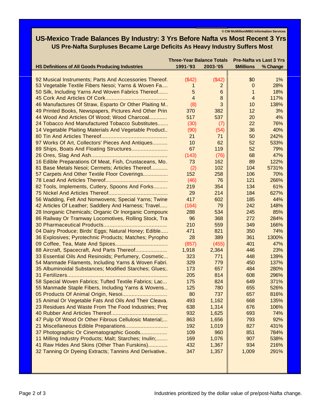**© CW McMillion/MBG Information Services**

### **US-Mexico Trade Balances By Industry: 3 Yrs Before Nafta vs Most Recent 3 Yrs US Pre-Nafta Surpluses Became Large Deficits As Heavy Industry Suffers Most**

|                                                         | <b>Three-Year Balance Totals</b> |          | <b>Pre-Nafta vs Last 3 Yrs</b> |          |
|---------------------------------------------------------|----------------------------------|----------|--------------------------------|----------|
| <b>HS Definitions of All Goods Producing Industries</b> | 1991-'93                         | 2003-'05 | <b>\$Millions</b>              | % Change |
|                                                         |                                  |          |                                |          |
| 92 Musical Instruments; Parts And Accessories Thereof.  | (\$42)                           | (\$42)   | \$0                            | $1\%$    |
| 53 Vegetable Textile Fibers Nesoi; Yarns & Woven Fa     | 1                                | 2        | $\mathbf 0$                    | 28%      |
| 50 Silk, Including Yarns And Woven Fabrics Thereof      | 5                                | 6        | 1                              | 18%      |
|                                                         | $\overline{4}$                   | 8        | $\overline{4}$                 | 117%     |
| 46 Manufactures Of Straw, Esparto Or Other Plaiting M   | (8)                              | 3        | 10                             | 138%     |
| 49 Printed Books, Newspapers, Pictures And Other Prin   | 370                              | 382      | 12                             | 3%       |
| 44 Wood And Articles Of Wood; Wood Charcoal             | 517                              | 537      | 20                             | 4%       |
| 24 Tobacco And Manufactured Tobacco Substitutes         | (30)                             | (7)      | 22                             | 76%      |
| 14 Vegetable Plaiting Materials And Vegetable Product   | (90)                             | (54)     | 36                             | 40%      |
|                                                         | 21                               | 71       | 50                             | 242%     |
| 97 Works Of Art, Collectors' Pieces And Antiques        | 10                               | 62       | 52                             | 533%     |
|                                                         | 67                               | 119      | 52                             | 79%      |
|                                                         | (143)                            | (76)     | 68                             | 47%      |
| 16 Edible Preparations Of Meat, Fish, Crustaceans, Mo.  | 73                               | 162      | 89                             | 122%     |
| 81 Base Metals Nesoi; Cermets; Articles Thereof         | (2)                              | 102      | 104                            | 5731%    |
| 57 Carpets And Other Textile Floor Coverings            | 152                              | 258      | 106                            | 70%      |
|                                                         | (46)                             | 76       | 121                            | 266%     |
| 82 Tools, Implements, Cutlery, Spoons And Forks         | 219                              | 354      | 134                            | 61%      |
|                                                         | 29                               | 214      | 184                            | 627%     |
| 56 Wadding, Felt And Nonwovens; Special Yarns; Twine    | 417                              | 602      | 185                            | 44%      |
| 42 Articles Of Leather; Saddlery And Harness; Travel    | (164)                            | 79       | 242                            | 148%     |
| 28 Inorganic Chemicals; Organic Or Inorganic Compound   | 288                              | 534      | 245                            | 85%      |
| 86 Railway Or Tramway Locomotives, Rolling Stock, Tra   | 96                               | 368      | 272                            | 284%     |
|                                                         | 210                              | 559      | 349                            | 166%     |
|                                                         | 471                              |          | 350                            | 74%      |
| 04 Dairy Produce; Birds' Eggs; Natural Honey; Edible    | 28                               | 821      | 361                            |          |
| 36 Explosives; Pyrotechnic Products; Matches; Pyropho   |                                  | 389      |                                | 1300%    |
|                                                         | (857)                            | (455)    | 401                            | 47%      |
| 88 Aircraft, Spacecraft, And Parts Thereof              | 1,918                            | 2,364    | 446                            | 23%      |
| 33 Essential Oils And Resinoids; Perfumery, Cosmetic    | 323                              | 771      | 448                            | 139%     |
| 54 Manmade Filaments, Including Yarns & Woven Fabri.    | 329                              | 779      | 450                            | 137%     |
| 35 Albuminoidal Substances; Modified Starches; Glues;   | 173                              | 657      | 484                            | 280%     |
|                                                         | 205                              | 814      | 608                            | 296%     |
| 58 Special Woven Fabrics; Tufted Textile Fabrics; Lac   | 175                              | 824      | 649                            | 371%     |
| 55 Manmade Staple Fibers, Including Yarns & Wovens      | 125                              | 780      | 655                            | 526%     |
| 05 Products Of Animal Origin, Nesoi                     | 80                               | 737      | 657                            | 816%     |
| 15 Animal Or Vegetable Fats And Oils And Their Cleava.  | 493                              | 1,162    | 668                            | 135%     |
| 23 Residues And Waste From The Food Industries; Prep    | 638                              | 1,314    | 676                            | 106%     |
|                                                         | 932                              | 1,625    | 693                            | 74%      |
| 47 Pulp Of Wood Or Other Fibrous Cellulosic Material;   | 863                              | 1,656    | 793                            | 92%      |
|                                                         | 192                              | 1,019    | 827                            | 431%     |
| 37 Photographic Or Cinematographic Goods                | 109                              | 960      | 851                            | 784%     |
| 11 Milling Industry Products; Malt; Starches; Inulin;   | 169                              | 1,076    | 907                            | 538%     |
| 41 Raw Hides And Skins (Other Than Furskins)            | 432                              | 1,367    | 934                            | 216%     |
| 32 Tanning Or Dyeing Extracts; Tannins And Derivative   | 347                              | 1,357    | 1,009                          | 291%     |
|                                                         |                                  |          |                                |          |
|                                                         |                                  |          |                                |          |
|                                                         |                                  |          |                                |          |